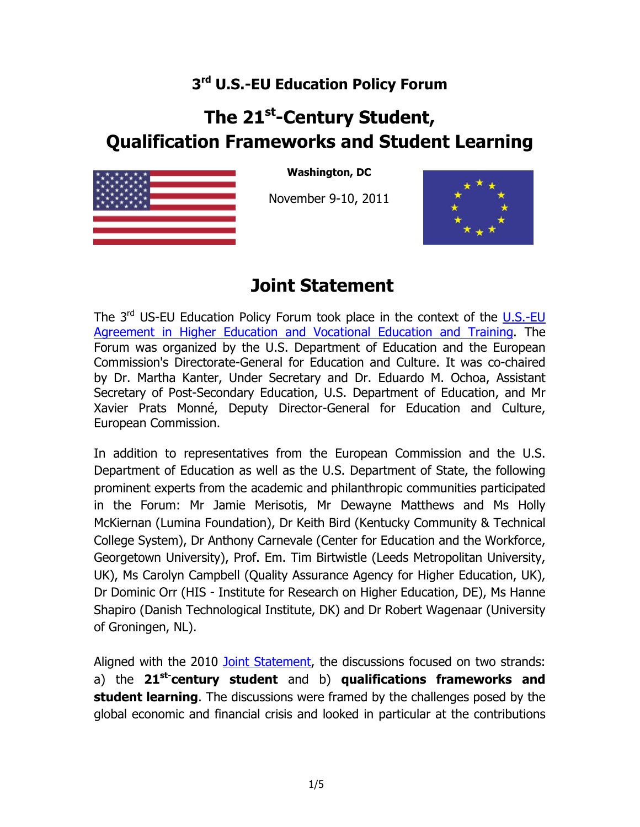## **3rd U.S.-EU Education Policy Forum**

## **The 21st-Century Student, Qualification Frameworks and Student Learning**



**Washington, DC** 

November 9-10, 2011



## **Joint Statement**

The  $3<sup>rd</sup>$  US-EU Education Policy Forum took place in the context of the  $\underline{\text{U.S.-EU}}$ [Agreement in Higher Education and Vocational Education and Training.](http://eur-lex.europa.eu/LexUriServ/LexUriServ.do?uri=OJ:L:2006:346:0034:0040:EN:PDF) The Forum was organized by the U.S. Department of Education and the European Commission's Directorate-General for Education and Culture. It was co-chaired by Dr. Martha Kanter, Under Secretary and Dr. Eduardo M. Ochoa, Assistant Secretary of Post-Secondary Education, U.S. Department of Education, and Mr Xavier Prats Monné, Deputy Director-General for Education and Culture, European Commission.

In addition to representatives from the European Commission and the U.S. Department of Education as well as the U.S. Department of State, the following prominent experts from the academic and philanthropic communities participated in the Forum: Mr Jamie Merisotis, Mr Dewayne Matthews and Ms Holly McKiernan (Lumina Foundation), Dr Keith Bird (Kentucky Community & Technical College System), Dr Anthony Carnevale (Center for Education and the Workforce, Georgetown University), Prof. Em. Tim Birtwistle (Leeds Metropolitan University, UK), Ms Carolyn Campbell (Quality Assurance Agency for Higher Education, UK), Dr Dominic Orr (HIS - Institute for Research on Higher Education, DE), Ms Hanne Shapiro (Danish Technological Institute, DK) and Dr Robert Wagenaar (University of Groningen, NL).

Aligned with the 2010 [Joint Statement,](http://ec.europa.eu/education/eu-usa/doc/joint10.pdf) the discussions focused on two strands: a) the **21st-century student** and b) **qualifications frameworks and student learning**. The discussions were framed by the challenges posed by the global economic and financial crisis and looked in particular at the contributions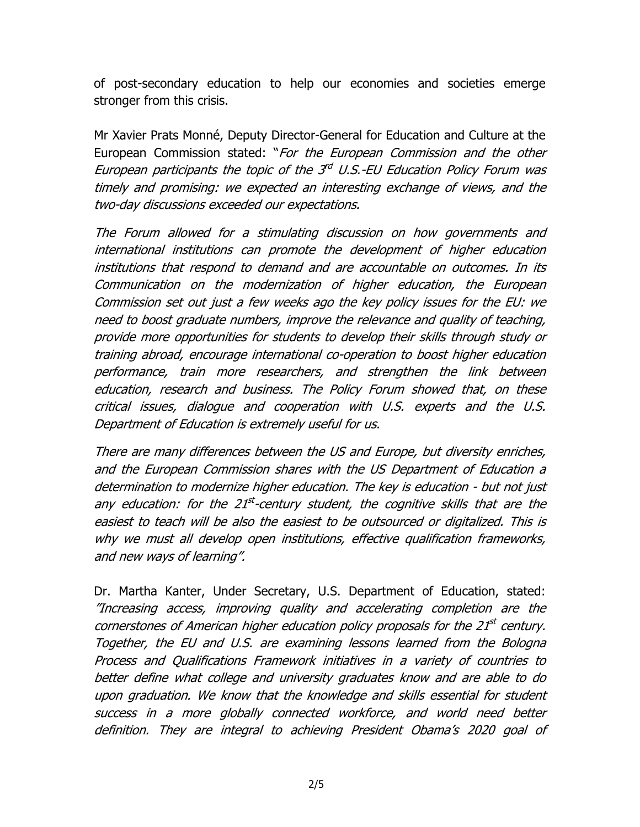of post-secondary education to help our economies and societies emerge stronger from this crisis.

Mr Xavier Prats Monné, Deputy Director-General for Education and Culture at the European Commission stated: "For the European Commission and the other European participants the topic of the  $3^{rd}$  U.S.-EU Education Policy Forum was timely and promising: we expected an interesting exchange of views, and the two-day discussions exceeded our expectations.

The Forum allowed for a stimulating discussion on how governments and international institutions can promote the development of higher education institutions that respond to demand and are accountable on outcomes. In its Communication on the modernization of higher education, the European Commission set out just a few weeks ago the key policy issues for the EU: we need to boost graduate numbers, improve the relevance and quality of teaching, provide more opportunities for students to develop their skills through study or training abroad, encourage international co-operation to boost higher education performance, train more researchers, and strengthen the link between education, research and business. The Policy Forum showed that, on these critical issues, dialogue and cooperation with U.S. experts and the U.S. Department of Education is extremely useful for us.

There are many differences between the US and Europe, but diversity enriches, and the European Commission shares with the US Department of Education a determination to modernize higher education. The key is education - but not just any education: for the 21<sup>st</sup>-century student, the cognitive skills that are the easiest to teach will be also the easiest to be outsourced or digitalized. This is why we must all develop open institutions, effective qualification frameworks, and new ways of learning".

Dr. Martha Kanter, Under Secretary, U.S. Department of Education, stated: "Increasing access, improving quality and accelerating completion are the cornerstones of American higher education policy proposals for the 21<sup>st</sup> century. Together, the EU and U.S. are examining lessons learned from the Bologna Process and Qualifications Framework initiatives in a variety of countries to better define what college and university graduates know and are able to do upon graduation. We know that the knowledge and skills essential for student success in a more globally connected workforce, and world need better definition. They are integral to achieving President Obama's 2020 goal of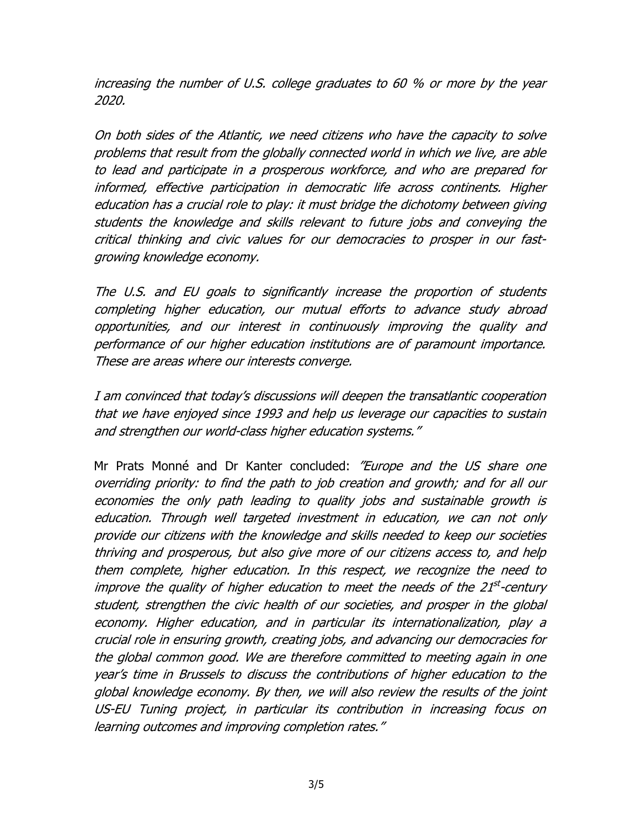increasing the number of U.S. college graduates to 60 % or more by the year 2020.

On both sides of the Atlantic, we need citizens who have the capacity to solve problems that result from the globally connected world in which we live, are able to lead and participate in a prosperous workforce, and who are prepared for informed, effective participation in democratic life across continents. Higher education has a crucial role to play: it must bridge the dichotomy between giving students the knowledge and skills relevant to future jobs and conveying the critical thinking and civic values for our democracies to prosper in our fastgrowing knowledge economy.

The U.S. and EU goals to significantly increase the proportion of students completing higher education, our mutual efforts to advance study abroad opportunities, and our interest in continuously improving the quality and performance of our higher education institutions are of paramount importance. These are areas where our interests converge.

I am convinced that today's discussions will deepen the transatlantic cooperation that we have enjoyed since 1993 and help us leverage our capacities to sustain and strengthen our world-class higher education systems."

Mr Prats Monné and Dr Kanter concluded: "Europe and the US share one overriding priority: to find the path to job creation and growth; and for all our economies the only path leading to quality jobs and sustainable growth is education. Through well targeted investment in education, we can not only provide our citizens with the knowledge and skills needed to keep our societies thriving and prosperous, but also give more of our citizens access to, and help them complete, higher education. In this respect, we recognize the need to improve the quality of higher education to meet the needs of the  $21^{st}$ -century student, strengthen the civic health of our societies, and prosper in the global economy. Higher education, and in particular its internationalization, play a crucial role in ensuring growth, creating jobs, and advancing our democracies for the global common good. We are therefore committed to meeting again in one year's time in Brussels to discuss the contributions of higher education to the global knowledge economy. By then, we will also review the results of the joint US-EU Tuning project, in particular its contribution in increasing focus on learning outcomes and improving completion rates."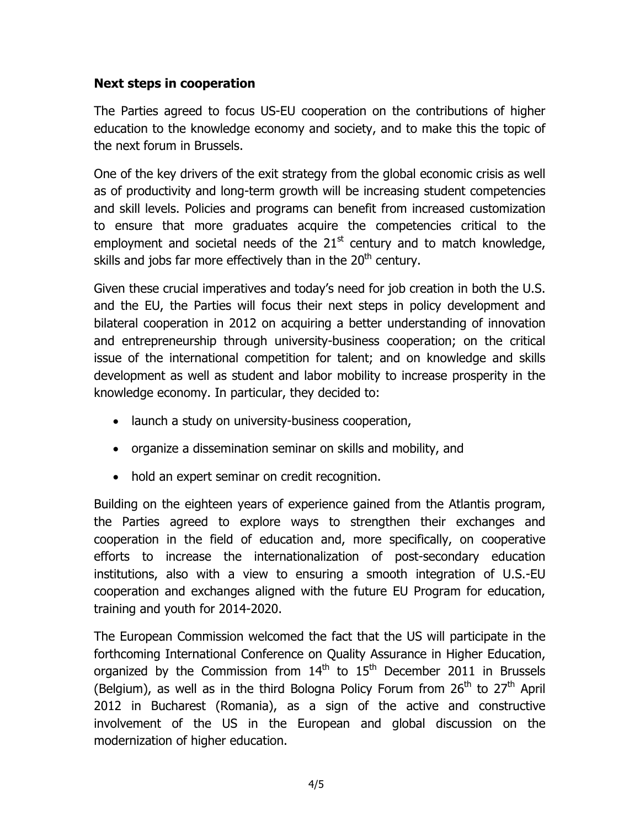## **Next steps in cooperation**

The Parties agreed to focus US-EU cooperation on the contributions of higher education to the knowledge economy and society, and to make this the topic of the next forum in Brussels.

One of the key drivers of the exit strategy from the global economic crisis as well as of productivity and long-term growth will be increasing student competencies and skill levels. Policies and programs can benefit from increased customization to ensure that more graduates acquire the competencies critical to the employment and societal needs of the  $21<sup>st</sup>$  century and to match knowledge, skills and jobs far more effectively than in the  $20<sup>th</sup>$  century.

Given these crucial imperatives and today's need for job creation in both the U.S. and the EU, the Parties will focus their next steps in policy development and bilateral cooperation in 2012 on acquiring a better understanding of innovation and entrepreneurship through university-business cooperation; on the critical issue of the international competition for talent; and on knowledge and skills development as well as student and labor mobility to increase prosperity in the knowledge economy. In particular, they decided to:

- launch a study on university-business cooperation,
- organize a dissemination seminar on skills and mobility, and
- hold an expert seminar on credit recognition.

Building on the eighteen years of experience gained from the Atlantis program, the Parties agreed to explore ways to strengthen their exchanges and cooperation in the field of education and, more specifically, on cooperative efforts to increase the internationalization of post-secondary education institutions, also with a view to ensuring a smooth integration of U.S.-EU cooperation and exchanges aligned with the future EU Program for education, training and youth for 2014-2020.

The European Commission welcomed the fact that the US will participate in the forthcoming International Conference on Quality Assurance in Higher Education, organized by the Commission from  $14<sup>th</sup>$  to  $15<sup>th</sup>$  December 2011 in Brussels (Belgium), as well as in the third Bologna Policy Forum from  $26<sup>th</sup>$  to  $27<sup>th</sup>$  April 2012 in Bucharest (Romania), as a sign of the active and constructive involvement of the US in the European and global discussion on the modernization of higher education.